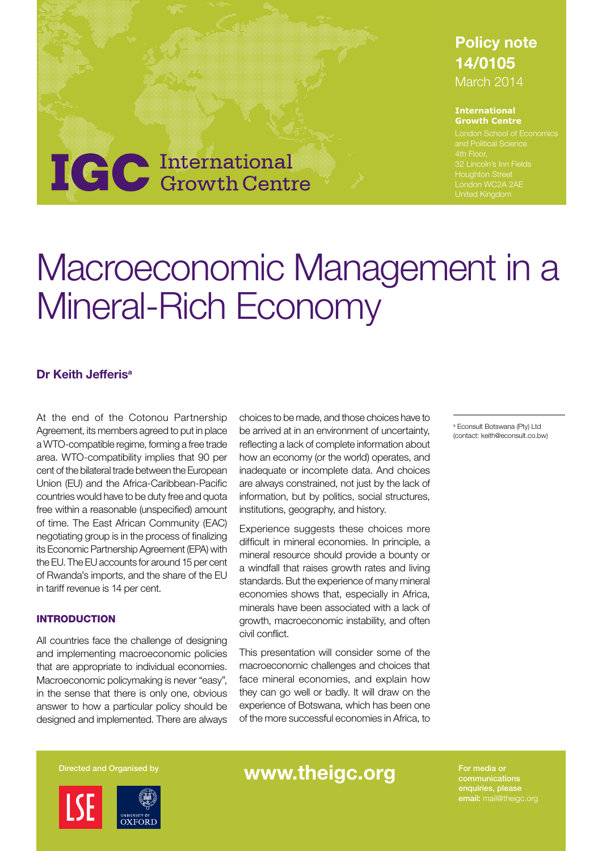### Policy note 14/0105 March 2014

#### **International Growth Centre**

and Political Science Houghton Street London WC2A 2AE

# **IGC** International

# Macroeconomic Management in a Mineral-Rich Economy

#### Dr Keith Jefferis<sup>a</sup>

At the end of the Cotonou Partnership Agreement, its members agreed to put in place a WTO-compatible regime, forming a free trade area. WTO-compatibility implies that 90 per cent of the bilateral trade between the European Union (EU) and the Africa-Caribbean-Pacific countries would have to be duty free and quota free within a reasonable (unspecified) amount of time. The East African Community (EAC) negotiating group is in the process of finalizing its Economic Partnership Agreement (EPA) with the EU. The EU accounts for around 15 per cent of Rwanda's imports, and the share of the EU in tariff revenue is 14 per cent.

#### INTRODUCTION

All countries face the challenge of designing and implementing macroeconomic policies that are appropriate to individual economies. Macroeconomic policymaking is never "easy", in the sense that there is only one, obvious answer to how a particular policy should be designed and implemented. There are always choices to be made, and those choices have to be arrived at in an environment of uncertainty, reflecting a lack of complete information about how an economy (or the world) operates, and inadequate or incomplete data. And choices are always constrained, not just by the lack of information, but by politics, social structures, institutions, geography, and history.

Experience suggests these choices more difficult in mineral economies. In principle, a mineral resource should provide a bounty or a windfall that raises growth rates and living standards. But the experience of many mineral economies shows that, especially in Africa, minerals have been associated with a lack of growth, macroeconomic instability, and often civil conflict.

This presentation will consider some of the macroeconomic challenges and choices that face mineral economies, and explain how they can go well or badly. It will draw on the experience of Botswana, which has been one of the more successful economies in Africa, to a Econsult Botswana (Pty) Ltd (contact: keith@econsult.co.bw)



## Directed and Organised by **WWW.theigc.org** For media or

enquiries, please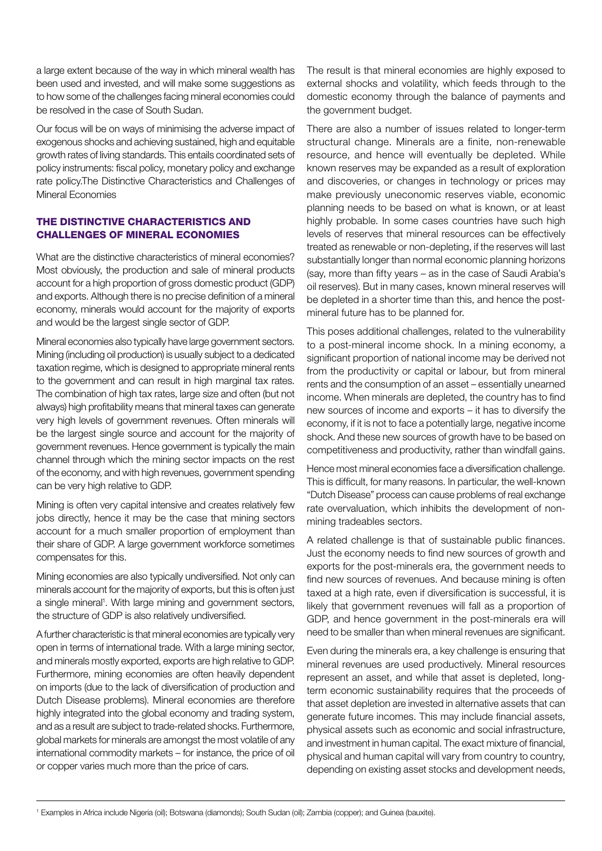a large extent because of the way in which mineral wealth has been used and invested, and will make some suggestions as to how some of the challenges facing mineral economies could be resolved in the case of South Sudan.

Our focus will be on ways of minimising the adverse impact of exogenous shocks and achieving sustained, high and equitable growth rates of living standards. This entails coordinated sets of policy instruments: fiscal policy, monetary policy and exchange rate policy.The Distinctive Characteristics and Challenges of Mineral Economies

#### THE DISTINCTIVE CHARACTERISTICS AND CHALLENGES OF MINERAL ECONOMIES

What are the distinctive characteristics of mineral economies? Most obviously, the production and sale of mineral products account for a high proportion of gross domestic product (GDP) and exports. Although there is no precise definition of a mineral economy, minerals would account for the majority of exports and would be the largest single sector of GDP.

Mineral economies also typically have large government sectors. Mining (including oil production) is usually subject to a dedicated taxation regime, which is designed to appropriate mineral rents to the government and can result in high marginal tax rates. The combination of high tax rates, large size and often (but not always) high profitability means that mineral taxes can generate very high levels of government revenues. Often minerals will be the largest single source and account for the majority of government revenues. Hence government is typically the main channel through which the mining sector impacts on the rest of the economy, and with high revenues, government spending can be very high relative to GDP.

Mining is often very capital intensive and creates relatively few jobs directly, hence it may be the case that mining sectors account for a much smaller proportion of employment than their share of GDP. A large government workforce sometimes compensates for this.

Mining economies are also typically undiversified. Not only can minerals account for the majority of exports, but this is often just a single mineral<sup>1</sup>. With large mining and government sectors, the structure of GDP is also relatively undiversified.

A further characteristic is that mineral economies are typically very open in terms of international trade. With a large mining sector, and minerals mostly exported, exports are high relative to GDP. Furthermore, mining economies are often heavily dependent on imports (due to the lack of diversification of production and Dutch Disease problems). Mineral economies are therefore highly integrated into the global economy and trading system, and as a result are subject to trade-related shocks. Furthermore, global markets for minerals are amongst the most volatile of any international commodity markets – for instance, the price of oil or copper varies much more than the price of cars.

The result is that mineral economies are highly exposed to external shocks and volatility, which feeds through to the domestic economy through the balance of payments and the government budget.

There are also a number of issues related to longer-term structural change. Minerals are a finite, non-renewable resource, and hence will eventually be depleted. While known reserves may be expanded as a result of exploration and discoveries, or changes in technology or prices may make previously uneconomic reserves viable, economic planning needs to be based on what is known, or at least highly probable. In some cases countries have such high levels of reserves that mineral resources can be effectively treated as renewable or non-depleting, if the reserves will last substantially longer than normal economic planning horizons (say, more than fifty years – as in the case of Saudi Arabia's oil reserves). But in many cases, known mineral reserves will be depleted in a shorter time than this, and hence the postmineral future has to be planned for.

This poses additional challenges, related to the vulnerability to a post-mineral income shock. In a mining economy, a significant proportion of national income may be derived not from the productivity or capital or labour, but from mineral rents and the consumption of an asset – essentially unearned income. When minerals are depleted, the country has to find new sources of income and exports – it has to diversify the economy, if it is not to face a potentially large, negative income shock. And these new sources of growth have to be based on competitiveness and productivity, rather than windfall gains.

Hence most mineral economies face a diversification challenge. This is difficult, for many reasons. In particular, the well-known "Dutch Disease" process can cause problems of real exchange rate overvaluation, which inhibits the development of nonmining tradeables sectors.

A related challenge is that of sustainable public finances. Just the economy needs to find new sources of growth and exports for the post-minerals era, the government needs to find new sources of revenues. And because mining is often taxed at a high rate, even if diversification is successful, it is likely that government revenues will fall as a proportion of GDP, and hence government in the post-minerals era will need to be smaller than when mineral revenues are significant.

Even during the minerals era, a key challenge is ensuring that mineral revenues are used productively. Mineral resources represent an asset, and while that asset is depleted, longterm economic sustainability requires that the proceeds of that asset depletion are invested in alternative assets that can generate future incomes. This may include financial assets, physical assets such as economic and social infrastructure, and investment in human capital. The exact mixture of financial, physical and human capital will vary from country to country, depending on existing asset stocks and development needs,

<sup>1</sup> Examples in Africa include Nigeria (oil); Botswana (diamonds); South Sudan (oil); Zambia (copper); and Guinea (bauxite).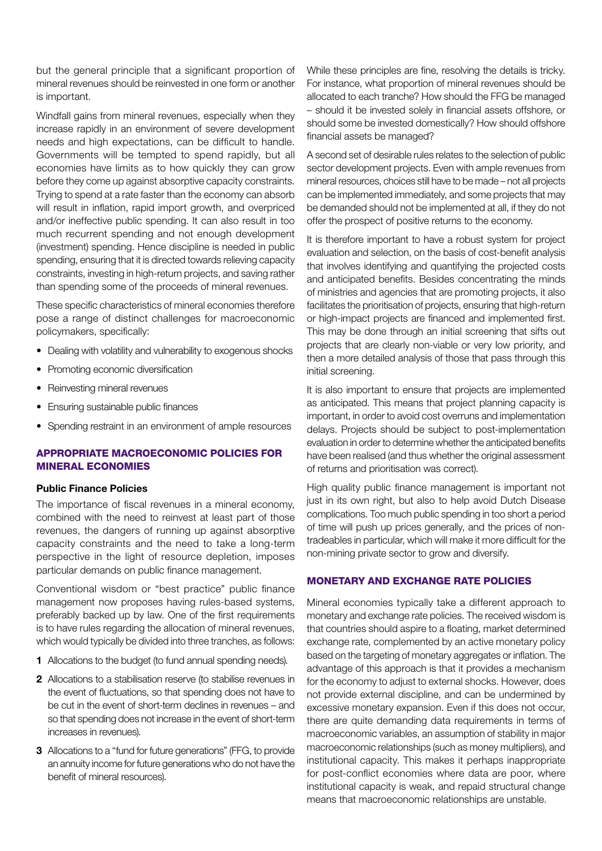but the general principle that a significant proportion of mineral revenues should be reinvested in one form or another is important.

Windfall gains from mineral revenues, especially when they increase rapidly in an environment of severe development needs and high expectations, can be difficult to handle. Governments will be tempted to spend rapidly, but all economies have limits as to how quickly they can grow before they come up against absorptive capacity constraints. Trying to spend at a rate faster than the economy can absorb will result in inflation, rapid import growth, and overpriced and/or ineffective public spending. It can also result in too much recurrent spending and not enough development (investment) spending. Hence discipline is needed in public spending, ensuring that it is directed towards relieving capacity constraints, investing in high-return projects, and saving rather than spending some of the proceeds of mineral revenues.

These specific characteristics of mineral economies therefore pose a range of distinct challenges for macroeconomic policymakers, specifically:

- Dealing with volatility and vulnerability to exogenous shocks
- Promoting economic diversification
- Reinvesting mineral revenues
- Ensuring sustainable public finances
- Spending restraint in an environment of ample resources

#### APPROPRIATE MACROECONOMIC POLICIES FOR MINERAL ECONOMIES

#### Public Finance Policies

The importance of fiscal revenues in a mineral economy, combined with the need to reinvest at least part of those revenues, the dangers of running up against absorptive capacity constraints and the need to take a long-term perspective in the light of resource depletion, imposes particular demands on public finance management.

Conventional wisdom or "best practice" public finance management now proposes having rules-based systems, preferably backed up by law. One of the first requirements is to have rules regarding the allocation of mineral revenues, which would typically be divided into three tranches, as follows:

- 1 Allocations to the budget (to fund annual spending needs).
- 2 Allocations to a stabilisation reserve (to stabilise revenues in the event of fluctuations, so that spending does not have to be cut in the event of short-term declines in revenues – and so that spending does not increase in the event of short-term increases in revenues).
- 3 Allocations to a "fund for future generations" (FFG, to provide an annuity income for future generations who do not have the benefit of mineral resources).

While these principles are fine, resolving the details is tricky. For instance, what proportion of mineral revenues should be allocated to each tranche? How should the FFG be managed – should it be invested solely in financial assets offshore, or should some be invested domestically? How should offshore financial assets be managed?

A second set of desirable rules relates to the selection of public sector development projects. Even with ample revenues from mineral resources, choices still have to be made – not all projects can be implemented immediately, and some projects that may be demanded should not be implemented at all, if they do not offer the prospect of positive returns to the economy.

It is therefore important to have a robust system for project evaluation and selection, on the basis of cost-benefit analysis that involves identifying and quantifying the projected costs and anticipated benefits. Besides concentrating the minds of ministries and agencies that are promoting projects, it also facilitates the prioritisation of projects, ensuring that high-return or high-impact projects are financed and implemented first. This may be done through an initial screening that sifts out projects that are clearly non-viable or very low priority, and then a more detailed analysis of those that pass through this initial screening.

It is also important to ensure that projects are implemented as anticipated. This means that project planning capacity is important, in order to avoid cost overruns and implementation delays. Projects should be subject to post-implementation evaluation in order to determine whether the anticipated benefits have been realised (and thus whether the original assessment of returns and prioritisation was correct).

High quality public finance management is important not just in its own right, but also to help avoid Dutch Disease complications. Too much public spending in too short a period of time will push up prices generally, and the prices of nontradeables in particular, which will make it more difficult for the non-mining private sector to grow and diversify.

#### MONETARY AND EXCHANGE RATE POLICIES

Mineral economies typically take a different approach to monetary and exchange rate policies. The received wisdom is that countries should aspire to a floating, market determined exchange rate, complemented by an active monetary policy based on the targeting of monetary aggregates or inflation. The advantage of this approach is that it provides a mechanism for the economy to adjust to external shocks. However, does not provide external discipline, and can be undermined by excessive monetary expansion. Even if this does not occur, there are quite demanding data requirements in terms of macroeconomic variables, an assumption of stability in major macroeconomic relationships (such as money multipliers), and institutional capacity. This makes it perhaps inappropriate for post-conflict economies where data are poor, where institutional capacity is weak, and repaid structural change means that macroeconomic relationships are unstable.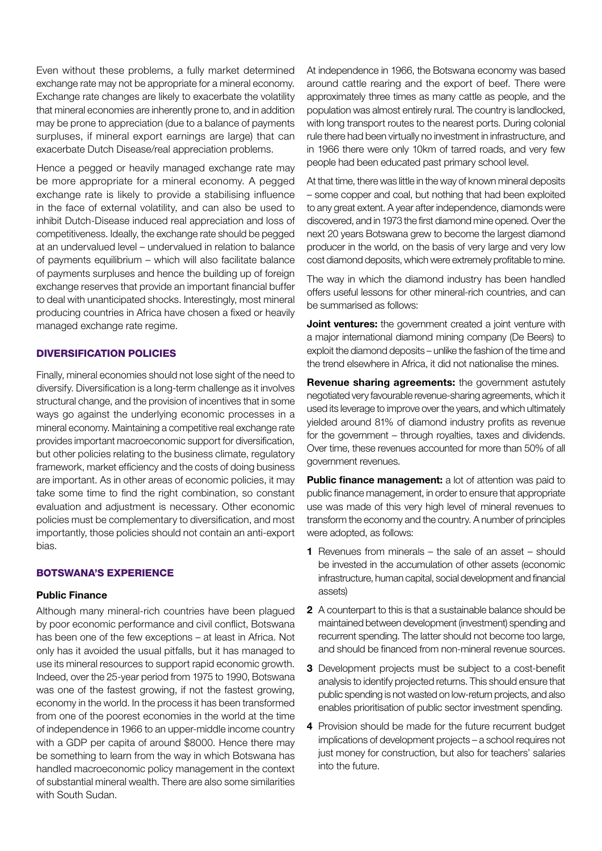Even without these problems, a fully market determined exchange rate may not be appropriate for a mineral economy. Exchange rate changes are likely to exacerbate the volatility that mineral economies are inherently prone to, and in addition may be prone to appreciation (due to a balance of payments surpluses, if mineral export earnings are large) that can exacerbate Dutch Disease/real appreciation problems.

Hence a pegged or heavily managed exchange rate may be more appropriate for a mineral economy. A pegged exchange rate is likely to provide a stabilising influence in the face of external volatility, and can also be used to inhibit Dutch-Disease induced real appreciation and loss of competitiveness. Ideally, the exchange rate should be pegged at an undervalued level – undervalued in relation to balance of payments equilibrium – which will also facilitate balance of payments surpluses and hence the building up of foreign exchange reserves that provide an important financial buffer to deal with unanticipated shocks. Interestingly, most mineral producing countries in Africa have chosen a fixed or heavily managed exchange rate regime.

#### DIVERSIFICATION POLICIES

Finally, mineral economies should not lose sight of the need to diversify. Diversification is a long-term challenge as it involves structural change, and the provision of incentives that in some ways go against the underlying economic processes in a mineral economy. Maintaining a competitive real exchange rate provides important macroeconomic support for diversification, but other policies relating to the business climate, regulatory framework, market efficiency and the costs of doing business are important. As in other areas of economic policies, it may take some time to find the right combination, so constant evaluation and adjustment is necessary. Other economic policies must be complementary to diversification, and most importantly, those policies should not contain an anti-export bias.

#### BOTSWANA'S EXPERIENCE

#### Public Finance

Although many mineral-rich countries have been plagued by poor economic performance and civil conflict, Botswana has been one of the few exceptions – at least in Africa. Not only has it avoided the usual pitfalls, but it has managed to use its mineral resources to support rapid economic growth. Indeed, over the 25-year period from 1975 to 1990, Botswana was one of the fastest growing, if not the fastest growing, economy in the world. In the process it has been transformed from one of the poorest economies in the world at the time of independence in 1966 to an upper-middle income country with a GDP per capita of around \$8000. Hence there may be something to learn from the way in which Botswana has handled macroeconomic policy management in the context of substantial mineral wealth. There are also some similarities with South Sudan.

At independence in 1966, the Botswana economy was based around cattle rearing and the export of beef. There were approximately three times as many cattle as people, and the population was almost entirely rural. The country is landlocked, with long transport routes to the nearest ports. During colonial rule there had been virtually no investment in infrastructure, and in 1966 there were only 10km of tarred roads, and very few people had been educated past primary school level.

At that time, there was little in the way of known mineral deposits – some copper and coal, but nothing that had been exploited to any great extent. A year after independence, diamonds were discovered, and in 1973 the first diamond mine opened. Over the next 20 years Botswana grew to become the largest diamond producer in the world, on the basis of very large and very low cost diamond deposits, which were extremely profitable to mine.

The way in which the diamond industry has been handled offers useful lessons for other mineral-rich countries, and can be summarised as follows:

Joint ventures: the government created a joint venture with a major international diamond mining company (De Beers) to exploit the diamond deposits – unlike the fashion of the time and the trend elsewhere in Africa, it did not nationalise the mines.

**Revenue sharing agreements:** the government astutely negotiated very favourable revenue-sharing agreements, which it used its leverage to improve over the years, and which ultimately yielded around 81% of diamond industry profits as revenue for the government – through royalties, taxes and dividends. Over time, these revenues accounted for more than 50% of all government revenues.

Public finance management: a lot of attention was paid to public finance management, in order to ensure that appropriate use was made of this very high level of mineral revenues to transform the economy and the country. A number of principles were adopted, as follows:

- 1 Revenues from minerals the sale of an asset should be invested in the accumulation of other assets (economic infrastructure, human capital, social development and financial assets)
- 2 A counterpart to this is that a sustainable balance should be maintained between development (investment) spending and recurrent spending. The latter should not become too large, and should be financed from non-mineral revenue sources.
- **3** Development projects must be subject to a cost-benefit analysis to identify projected returns. This should ensure that public spending is not wasted on low-return projects, and also enables prioritisation of public sector investment spending.
- 4 Provision should be made for the future recurrent budget implications of development projects – a school requires not just money for construction, but also for teachers' salaries into the future.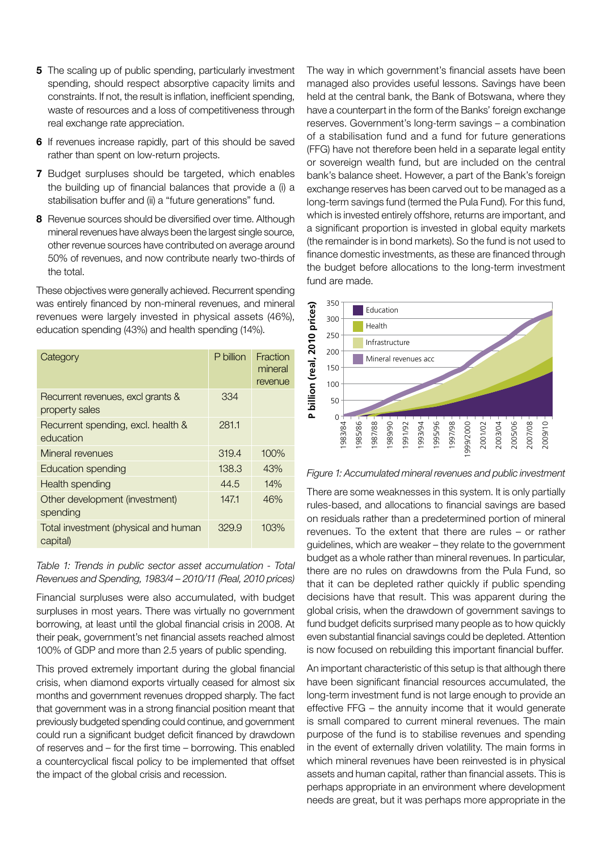- 5 The scaling up of public spending, particularly investment spending, should respect absorptive capacity limits and constraints. If not, the result is inflation, inefficient spending, waste of resources and a loss of competitiveness through real exchange rate appreciation.
- 6 If revenues increase rapidly, part of this should be saved rather than spent on low-return projects.
- 7 Budget surpluses should be targeted, which enables the building up of financial balances that provide a (i) a stabilisation buffer and (ii) a "future generations" fund.
- 8 Revenue sources should be diversified over time. Although mineral revenues have always been the largest single source, other revenue sources have contributed on average around 50% of revenues, and now contribute nearly two-thirds of the total.

These objectives were generally achieved. Recurrent spending was entirely financed by non-mineral revenues, and mineral revenues were largely invested in physical assets (46%), education spending (43%) and health spending (14%).

| Category                                            | P billion | Fraction<br>mineral<br>revenue |
|-----------------------------------------------------|-----------|--------------------------------|
| Recurrent revenues, excl grants &<br>property sales | 334       |                                |
| Recurrent spending, excl. health &<br>education     | 281.1     |                                |
| Mineral revenues                                    | 319.4     | 100%                           |
| Education spending                                  | 138.3     | 43%                            |
| Health spending                                     | 44.5      | 14%                            |
| Other development (investment)<br>spending          | 147.1     | 46%                            |
| Total investment (physical and human<br>capital)    | 329.9     | 103%                           |

Table 1: Trends in public sector asset accumulation - Total Revenues and Spending, 1983/4 – 2010/11 (Real, 2010 prices)

Financial surpluses were also accumulated, with budget surpluses in most years. There was virtually no government borrowing, at least until the global financial crisis in 2008. At their peak, government's net financial assets reached almost 100% of GDP and more than 2.5 years of public spending.

This proved extremely important during the global financial crisis, when diamond exports virtually ceased for almost six months and government revenues dropped sharply. The fact that government was in a strong financial position meant that previously budgeted spending could continue, and government could run a significant budget deficit financed by drawdown of reserves and – for the first time – borrowing. This enabled a countercyclical fiscal policy to be implemented that offset the impact of the global crisis and recession.

The way in which government's financial assets have been managed also provides useful lessons. Savings have been held at the central bank, the Bank of Botswana, where they have a counterpart in the form of the Banks' foreign exchange reserves. Government's long-term savings – a combination of a stabilisation fund and a fund for future generations (FFG) have not therefore been held in a separate legal entity or sovereign wealth fund, but are included on the central bank's balance sheet. However, a part of the Bank's foreign exchange reserves has been carved out to be managed as a long-term savings fund (termed the Pula Fund). For this fund, which is invested entirely offshore, returns are important, and a significant proportion is invested in global equity markets (the remainder is in bond markets). So the fund is not used to finance domestic investments, as these are financed through the budget before allocations to the long-term investment fund are made.



Figure 1: Accumulated mineral revenues and public investment

There are some weaknesses in this system. It is only partially rules-based, and allocations to financial savings are based on residuals rather than a predetermined portion of mineral revenues. To the extent that there are rules – or rather guidelines, which are weaker – they relate to the government budget as a whole rather than mineral revenues. In particular, there are no rules on drawdowns from the Pula Fund, so that it can be depleted rather quickly if public spending decisions have that result. This was apparent during the global crisis, when the drawdown of government savings to fund budget deficits surprised many people as to how quickly even substantial financial savings could be depleted. Attention is now focused on rebuilding this important financial buffer.

An important characteristic of this setup is that although there have been significant financial resources accumulated, the long-term investment fund is not large enough to provide an effective FFG – the annuity income that it would generate is small compared to current mineral revenues. The main purpose of the fund is to stabilise revenues and spending in the event of externally driven volatility. The main forms in which mineral revenues have been reinvested is in physical assets and human capital, rather than financial assets. This is perhaps appropriate in an environment where development needs are great, but it was perhaps more appropriate in the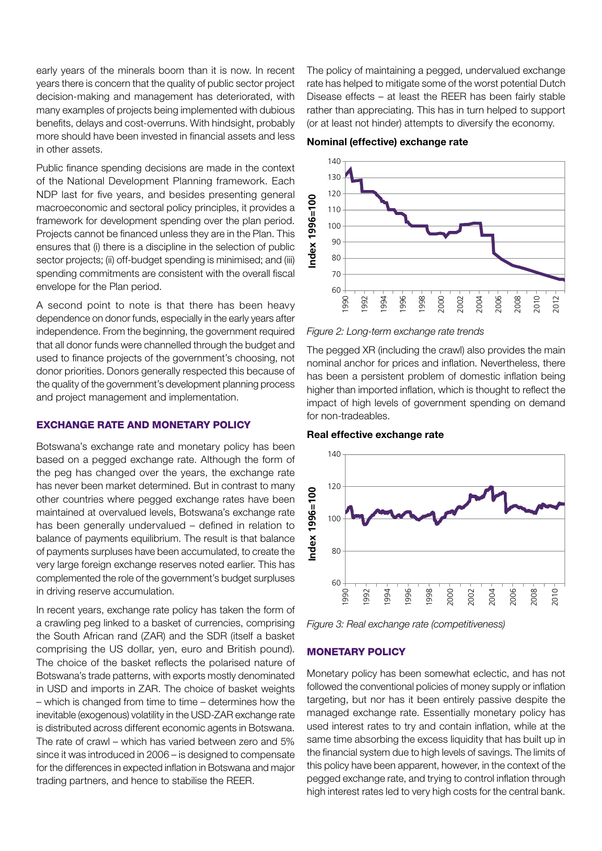early years of the minerals boom than it is now. In recent years there is concern that the quality of public sector project decision-making and management has deteriorated, with many examples of projects being implemented with dubious benefits, delays and cost-overruns. With hindsight, probably more should have been invested in financial assets and less in other assets.

Public finance spending decisions are made in the context of the National Development Planning framework. Each NDP last for five years, and besides presenting general macroeconomic and sectoral policy principles, it provides a framework for development spending over the plan period. Projects cannot be financed unless they are in the Plan. This ensures that (i) there is a discipline in the selection of public sector projects; (ii) off-budget spending is minimised; and (iii) spending commitments are consistent with the overall fiscal envelope for the Plan period.

A second point to note is that there has been heavy dependence on donor funds, especially in the early years after independence. From the beginning, the government required that all donor funds were channelled through the budget and used to finance projects of the government's choosing, not donor priorities. Donors generally respected this because of the quality of the government's development planning process and project management and implementation.

#### EXCHANGE RATE AND MONETARY POLICY

Botswana's exchange rate and monetary policy has been based on a pegged exchange rate. Although the form of the peg has changed over the years, the exchange rate has never been market determined. But in contrast to many other countries where pegged exchange rates have been maintained at overvalued levels, Botswana's exchange rate has been generally undervalued – defined in relation to balance of payments equilibrium. The result is that balance of payments surpluses have been accumulated, to create the very large foreign exchange reserves noted earlier. This has complemented the role of the government's budget surpluses in driving reserve accumulation.

In recent years, exchange rate policy has taken the form of a crawling peg linked to a basket of currencies, comprising the South African rand (ZAR) and the SDR (itself a basket comprising the US dollar, yen, euro and British pound). The choice of the basket reflects the polarised nature of Botswana's trade patterns, with exports mostly denominated in USD and imports in ZAR. The choice of basket weights – which is changed from time to time – determines how the inevitable (exogenous) volatility in the USD-ZAR exchange rate is distributed across different economic agents in Botswana. The rate of crawl – which has varied between zero and 5% since it was introduced in 2006 – is designed to compensate for the differences in expected inflation in Botswana and major trading partners, and hence to stabilise the REER.

The policy of maintaining a pegged, undervalued exchange rate has helped to mitigate some of the worst potential Dutch Disease effects – at least the REER has been fairly stable rather than appreciating. This has in turn helped to support (or at least not hinder) attempts to diversify the economy.

#### Nominal (effective) exchange rate



Figure 2: Long-term exchange rate trends

The pegged XR (including the crawl) also provides the main nominal anchor for prices and inflation. Nevertheless, there has been a persistent problem of domestic inflation being higher than imported inflation, which is thought to reflect the impact of high levels of government spending on demand for non-tradeables.

#### Real effective exchange rate



Figure 3: Real exchange rate (competitiveness)

#### MONETARY POLICY

Monetary policy has been somewhat eclectic, and has not followed the conventional policies of money supply or inflation targeting, but nor has it been entirely passive despite the managed exchange rate. Essentially monetary policy has used interest rates to try and contain inflation, while at the same time absorbing the excess liquidity that has built up in the financial system due to high levels of savings. The limits of this policy have been apparent, however, in the context of the pegged exchange rate, and trying to control inflation through high interest rates led to very high costs for the central bank.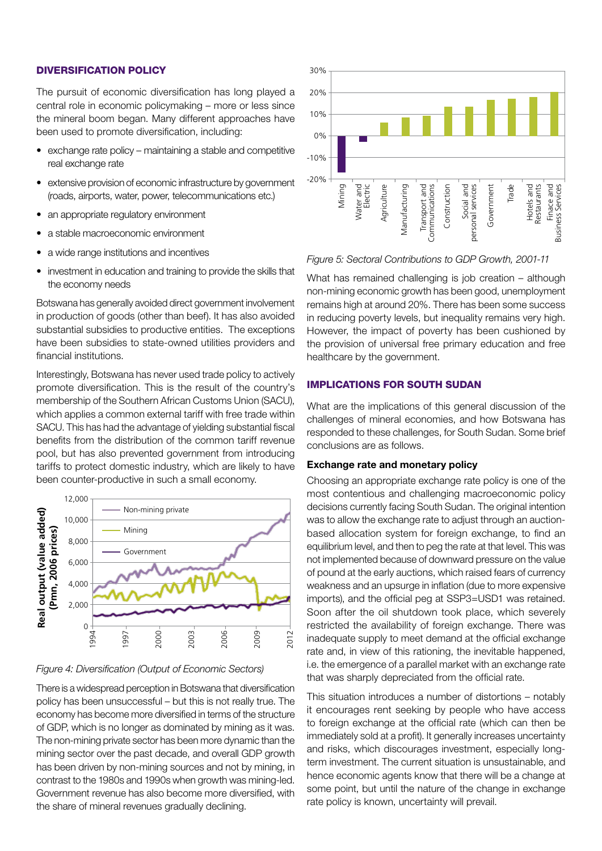#### DIVERSIFICATION POLICY

The pursuit of economic diversification has long played a central role in economic policymaking – more or less since the mineral boom began. Many different approaches have been used to promote diversification, including:

- exchange rate policy maintaining a stable and competitive real exchange rate
- extensive provision of economic infrastructure by government (roads, airports, water, power, telecommunications etc.)
- an appropriate regulatory environment
- a stable macroeconomic environment
- a wide range institutions and incentives
- investment in education and training to provide the skills that the economy needs

Botswana has generally avoided direct government involvement in production of goods (other than beef). It has also avoided substantial subsidies to productive entities. The exceptions have been subsidies to state-owned utilities providers and financial institutions.

Interestingly, Botswana has never used trade policy to actively promote diversification. This is the result of the country's membership of the Southern African Customs Union (SACU), which applies a common external tariff with free trade within SACU. This has had the advantage of yielding substantial fiscal benefits from the distribution of the common tariff revenue pool, but has also prevented government from introducing tariffs to protect domestic industry, which are likely to have been counter-productive in such a small economy.



#### Figure 4: Diversification (Output of Economic Sectors)

There is a widespread perception in Botswana that diversification policy has been unsuccessful – but this is not really true. The economy has become more diversified in terms of the structure of GDP, which is no longer as dominated by mining as it was. The non-mining private sector has been more dynamic than the mining sector over the past decade, and overall GDP growth has been driven by non-mining sources and not by mining, in contrast to the 1980s and 1990s when growth was mining-led. Government revenue has also become more diversified, with the share of mineral revenues gradually declining.



#### Figure 5: Sectoral Contributions to GDP Growth, 2001-11

What has remained challenging is job creation – although non-mining economic growth has been good, unemployment remains high at around 20%. There has been some success in reducing poverty levels, but inequality remains very high. However, the impact of poverty has been cushioned by the provision of universal free primary education and free healthcare by the government.

#### IMPLICATIONS FOR SOUTH SUDAN

What are the implications of this general discussion of the challenges of mineral economies, and how Botswana has responded to these challenges, for South Sudan. Some brief conclusions are as follows.

#### Exchange rate and monetary policy

Choosing an appropriate exchange rate policy is one of the most contentious and challenging macroeconomic policy decisions currently facing South Sudan. The original intention was to allow the exchange rate to adjust through an auctionbased allocation system for foreign exchange, to find an equilibrium level, and then to peg the rate at that level. This was not implemented because of downward pressure on the value of pound at the early auctions, which raised fears of currency weakness and an upsurge in inflation (due to more expensive imports), and the official peg at SSP3=USD1 was retained. Soon after the oil shutdown took place, which severely restricted the availability of foreign exchange. There was inadequate supply to meet demand at the official exchange rate and, in view of this rationing, the inevitable happened, i.e. the emergence of a parallel market with an exchange rate that was sharply depreciated from the official rate.

This situation introduces a number of distortions – notably it encourages rent seeking by people who have access to foreign exchange at the official rate (which can then be immediately sold at a profit). It generally increases uncertainty and risks, which discourages investment, especially longterm investment. The current situation is unsustainable, and hence economic agents know that there will be a change at some point, but until the nature of the change in exchange rate policy is known, uncertainty will prevail.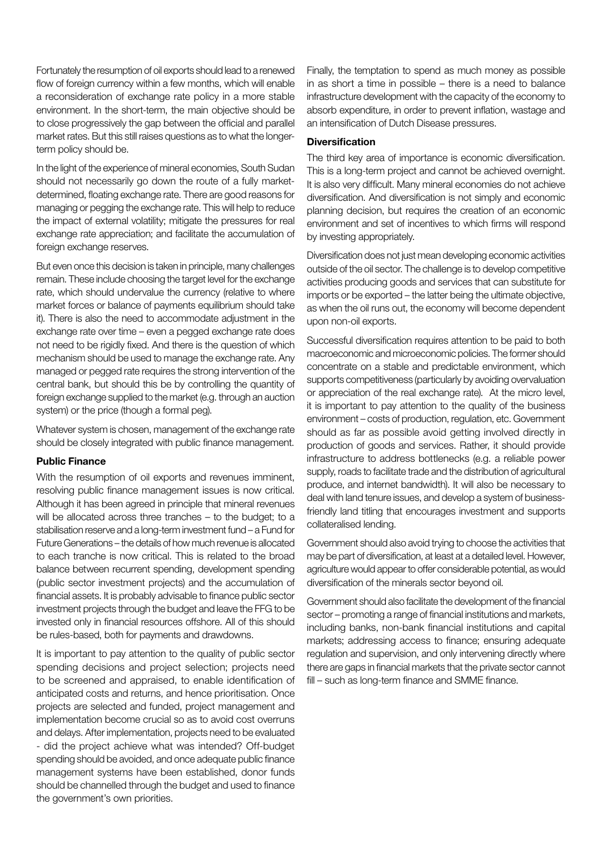Fortunately the resumption of oil exports should lead to a renewed flow of foreign currency within a few months, which will enable a reconsideration of exchange rate policy in a more stable environment. In the short-term, the main objective should be to close progressively the gap between the official and parallel market rates. But this still raises questions as to what the longerterm policy should be.

In the light of the experience of mineral economies, South Sudan should not necessarily go down the route of a fully marketdetermined, floating exchange rate. There are good reasons for managing or pegging the exchange rate. This will help to reduce the impact of external volatility; mitigate the pressures for real exchange rate appreciation; and facilitate the accumulation of foreign exchange reserves.

But even once this decision is taken in principle, many challenges remain. These include choosing the target level for the exchange rate, which should undervalue the currency (relative to where market forces or balance of payments equilibrium should take it). There is also the need to accommodate adjustment in the exchange rate over time – even a pegged exchange rate does not need to be rigidly fixed. And there is the question of which mechanism should be used to manage the exchange rate. Any managed or pegged rate requires the strong intervention of the central bank, but should this be by controlling the quantity of foreign exchange supplied to the market (e.g. through an auction system) or the price (though a formal peg).

Whatever system is chosen, management of the exchange rate should be closely integrated with public finance management.

#### Public Finance

With the resumption of oil exports and revenues imminent, resolving public finance management issues is now critical. Although it has been agreed in principle that mineral revenues will be allocated across three tranches – to the budget; to a stabilisation reserve and a long-term investment fund – a Fund for Future Generations – the details of how much revenue is allocated to each tranche is now critical. This is related to the broad balance between recurrent spending, development spending (public sector investment projects) and the accumulation of financial assets. It is probably advisable to finance public sector investment projects through the budget and leave the FFG to be invested only in financial resources offshore. All of this should be rules-based, both for payments and drawdowns.

It is important to pay attention to the quality of public sector spending decisions and project selection; projects need to be screened and appraised, to enable identification of anticipated costs and returns, and hence prioritisation. Once projects are selected and funded, project management and implementation become crucial so as to avoid cost overruns and delays. After implementation, projects need to be evaluated - did the project achieve what was intended? Off-budget spending should be avoided, and once adequate public finance management systems have been established, donor funds should be channelled through the budget and used to finance the government's own priorities.

Finally, the temptation to spend as much money as possible in as short a time in possible – there is a need to balance infrastructure development with the capacity of the economy to absorb expenditure, in order to prevent inflation, wastage and an intensification of Dutch Disease pressures.

#### Diversification

The third key area of importance is economic diversification. This is a long-term project and cannot be achieved overnight. It is also very difficult. Many mineral economies do not achieve diversification. And diversification is not simply and economic planning decision, but requires the creation of an economic environment and set of incentives to which firms will respond by investing appropriately.

Diversification does not just mean developing economic activities outside of the oil sector. The challenge is to develop competitive activities producing goods and services that can substitute for imports or be exported – the latter being the ultimate objective, as when the oil runs out, the economy will become dependent upon non-oil exports.

Successful diversification requires attention to be paid to both macroeconomic and microeconomic policies. The former should concentrate on a stable and predictable environment, which supports competitiveness (particularly by avoiding overvaluation or appreciation of the real exchange rate). At the micro level, it is important to pay attention to the quality of the business environment – costs of production, regulation, etc. Government should as far as possible avoid getting involved directly in production of goods and services. Rather, it should provide infrastructure to address bottlenecks (e.g. a reliable power supply, roads to facilitate trade and the distribution of agricultural produce, and internet bandwidth). It will also be necessary to deal with land tenure issues, and develop a system of businessfriendly land titling that encourages investment and supports collateralised lending.

Government should also avoid trying to choose the activities that may be part of diversification, at least at a detailed level. However, agriculture would appear to offer considerable potential, as would diversification of the minerals sector beyond oil.

Government should also facilitate the development of the financial sector – promoting a range of financial institutions and markets, including banks, non-bank financial institutions and capital markets; addressing access to finance; ensuring adequate regulation and supervision, and only intervening directly where there are gaps in financial markets that the private sector cannot fill – such as long-term finance and SMME finance.